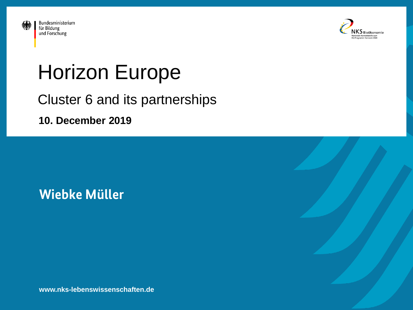



# Horizon Europe

#### Cluster 6 and its partnerships

**10. December 2019**

#### **Wiebke Müller**

**www.nks-lebenswissenschaften.de**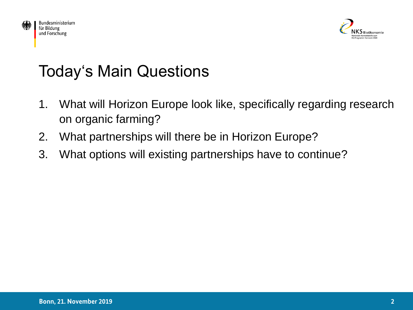



## Today's Main Questions

- 1. What will Horizon Europe look like, specifically regarding research on organic farming?
- 2. What partnerships will there be in Horizon Europe?
- 3. What options will existing partnerships have to continue?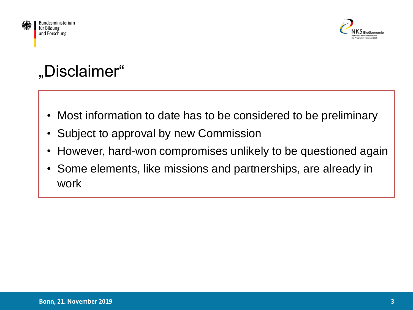



## "Disclaimer"

- Most information to date has to be considered to be preliminary
- Subject to approval by new Commission
- However, hard-won compromises unlikely to be questioned again
- Some elements, like missions and partnerships, are already in work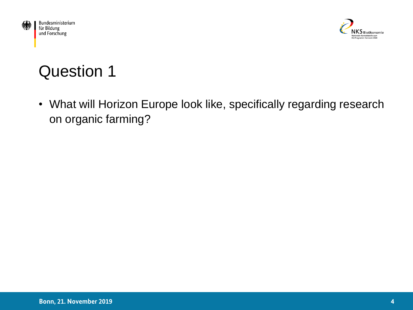



## Question 1

• What will Horizon Europe look like, specifically regarding research on organic farming?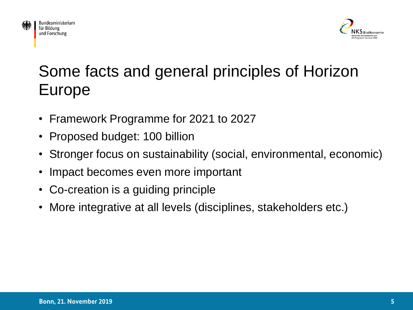



## Some facts and general principles of Horizon Europe

- Framework Programme for 2021 to 2027
- Proposed budget: 100 billion
- Stronger focus on sustainability (social, environmental, economic)
- Impact becomes even more important
- Co-creation is a guiding principle
- More integrative at all levels (disciplines, stakeholders etc.)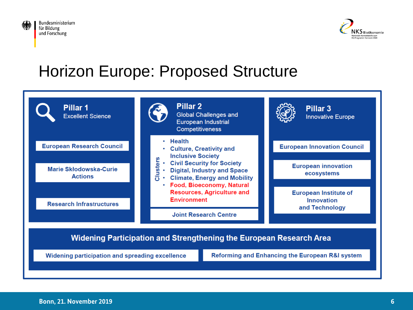



#### Horizon Europe: Proposed Structure

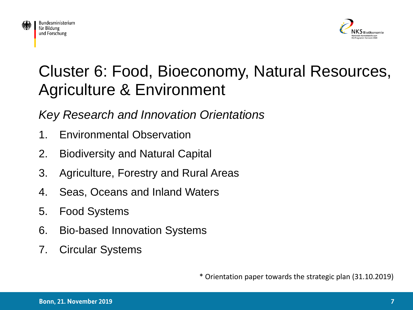



#### Cluster 6: Food, Bioeconomy, Natural Resources, Agriculture & Environment

#### *Key Research and Innovation Orientations*

- 1. Environmental Observation
- 2. Biodiversity and Natural Capital
- 3. Agriculture, Forestry and Rural Areas
- 4. Seas, Oceans and Inland Waters
- 5. Food Systems
- 6. Bio-based Innovation Systems
- 7. Circular Systems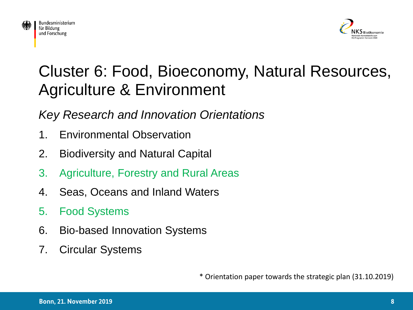



#### Cluster 6: Food, Bioeconomy, Natural Resources, Agriculture & Environment

*Key Research and Innovation Orientations*

- 1. Environmental Observation
- 2. Biodiversity and Natural Capital
- 3. Agriculture, Forestry and Rural Areas
- 4. Seas, Oceans and Inland Waters
- 5. Food Systems
- 6. Bio-based Innovation Systems
- 7. Circular Systems

\* Orientation paper towards the strategic plan (31.10.2019)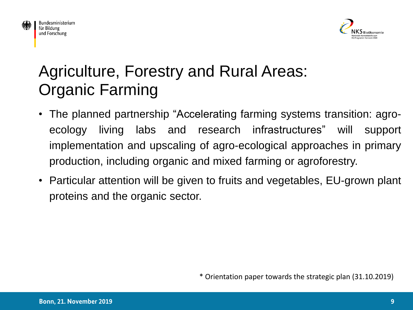



#### Agriculture, Forestry and Rural Areas: Organic Farming

- The planned partnership "Accelerating farming systems transition: agroecology living labs and research infrastructures" will support implementation and upscaling of agro-ecological approaches in primary production, including organic and mixed farming or agroforestry.
- Particular attention will be given to fruits and vegetables, EU-grown plant proteins and the organic sector.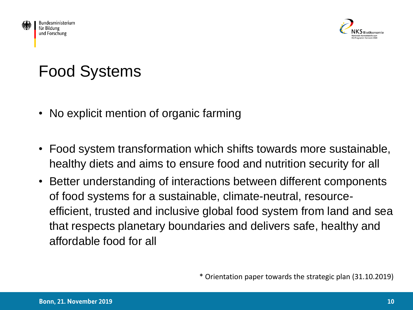



#### Food Systems

- No explicit mention of organic farming
- Food system transformation which shifts towards more sustainable, healthy diets and aims to ensure food and nutrition security for all
- Better understanding of interactions between different components of food systems for a sustainable, climate-neutral, resourceefficient, trusted and inclusive global food system from land and sea that respects planetary boundaries and delivers safe, healthy and affordable food for all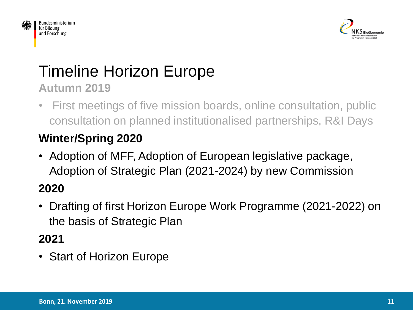



#### Timeline Horizon Europe **Autumn 2019**

• First meetings of five mission boards, online consultation, public consultation on planned institutionalised partnerships, R&I Days

#### **Winter/Spring 2020**

• Adoption of MFF, Adoption of European legislative package, Adoption of Strategic Plan (2021-2024) by new Commission

#### **2020**

• Drafting of first Horizon Europe Work Programme (2021-2022) on the basis of Strategic Plan

#### **2021**

• Start of Horizon Europe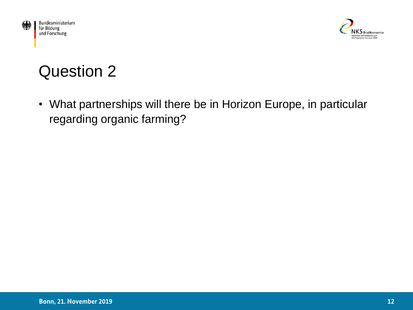



## Question 2

• What partnerships will there be in Horizon Europe, in particular regarding organic farming?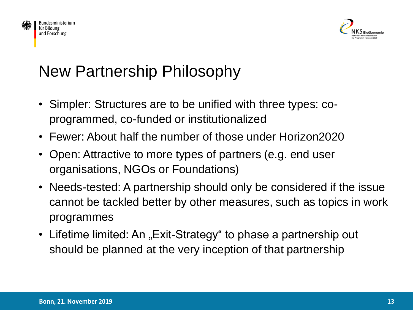



## New Partnership Philosophy

- Simpler: Structures are to be unified with three types: coprogrammed, co-funded or institutionalized
- Fewer: About half the number of those under Horizon2020
- Open: Attractive to more types of partners (e.g. end user organisations, NGOs or Foundations)
- Needs-tested: A partnership should only be considered if the issue cannot be tackled better by other measures, such as topics in work programmes
- Lifetime limited: An "Exit-Strategy" to phase a partnership out should be planned at the very inception of that partnership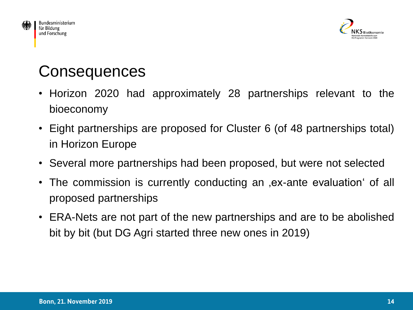



#### **Consequences**

- Horizon 2020 had approximately 28 partnerships relevant to the bioeconomy
- Eight partnerships are proposed for Cluster 6 (of 48 partnerships total) in Horizon Europe
- Several more partnerships had been proposed, but were not selected
- The commission is currently conducting an , ex-ante evaluation' of all proposed partnerships
- ERA-Nets are not part of the new partnerships and are to be abolished bit by bit (but DG Agri started three new ones in 2019)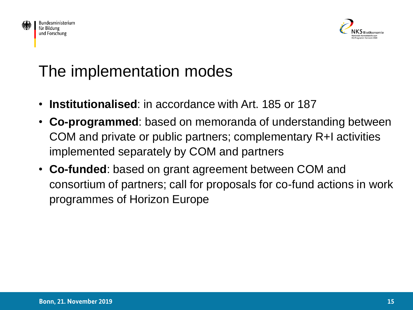



#### The implementation modes

- **Institutionalised**: in accordance with Art. 185 or 187
- **Co-programmed**: based on memoranda of understanding between COM and private or public partners; complementary R+I activities implemented separately by COM and partners
- **Co-funded**: based on grant agreement between COM and consortium of partners; call for proposals for co-fund actions in work programmes of Horizon Europe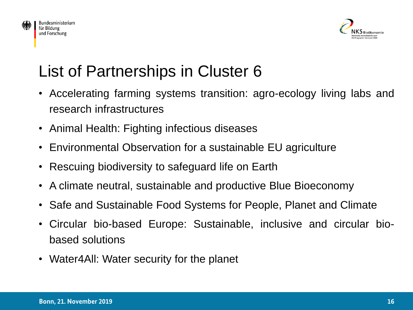



## List of Partnerships in Cluster 6

- Accelerating farming systems transition: agro-ecology living labs and research infrastructures
- Animal Health: Fighting infectious diseases
- Environmental Observation for a sustainable EU agriculture
- Rescuing biodiversity to safeguard life on Earth
- A climate neutral, sustainable and productive Blue Bioeconomy
- Safe and Sustainable Food Systems for People, Planet and Climate
- Circular bio-based Europe: Sustainable, inclusive and circular biobased solutions
- Water4All: Water security for the planet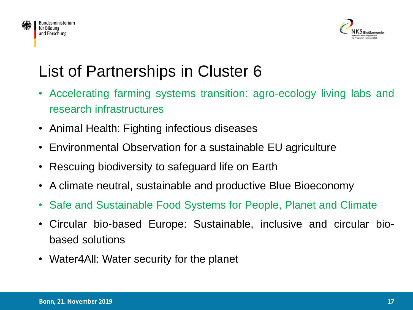



## List of Partnerships in Cluster 6

- Accelerating farming systems transition: agro-ecology living labs and research infrastructures
- Animal Health: Fighting infectious diseases
- Environmental Observation for a sustainable EU agriculture
- Rescuing biodiversity to safeguard life on Earth
- A climate neutral, sustainable and productive Blue Bioeconomy
- Safe and Sustainable Food Systems for People, Planet and Climate
- Circular bio-based Europe: Sustainable, inclusive and circular biobased solutions
- Water4All: Water security for the planet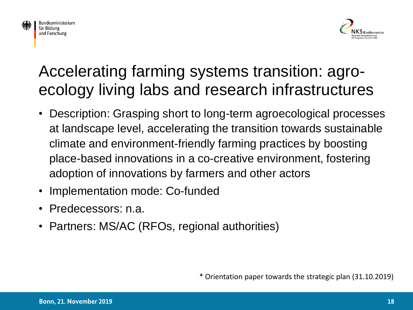



#### Accelerating farming systems transition: agroecology living labs and research infrastructures

- Description: Grasping short to long-term agroecological processes at landscape level, accelerating the transition towards sustainable climate and environment-friendly farming practices by boosting place-based innovations in a co-creative environment, fostering adoption of innovations by farmers and other actors
- Implementation mode: Co-funded
- Predecessors: n.a.
- Partners: MS/AC (RFOs, regional authorities)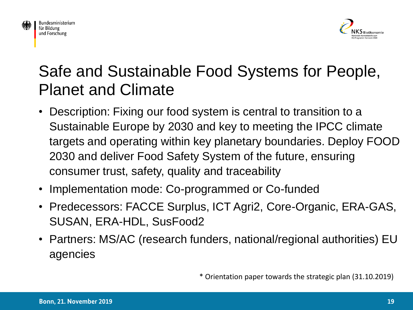





#### Safe and Sustainable Food Systems for People, Planet and Climate

- Description: Fixing our food system is central to transition to a Sustainable Europe by 2030 and key to meeting the IPCC climate targets and operating within key planetary boundaries. Deploy FOOD 2030 and deliver Food Safety System of the future, ensuring consumer trust, safety, quality and traceability
- Implementation mode: Co-programmed or Co-funded
- Predecessors: FACCE Surplus, ICT Agri2, Core-Organic, ERA-GAS, SUSAN, ERA-HDL, SusFood2
- Partners: MS/AC (research funders, national/regional authorities) EU agencies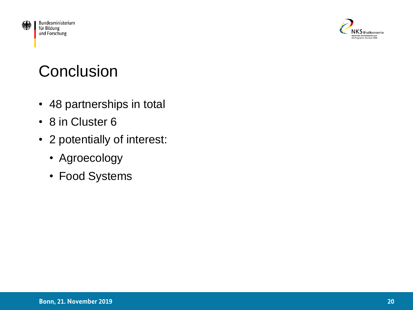



## **Conclusion**

- 48 partnerships in total
- 8 in Cluster 6
- 2 potentially of interest:
	- Agroecology
	- Food Systems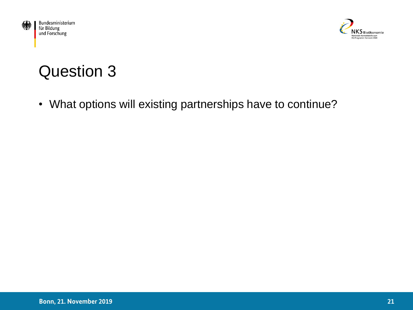



#### Question 3

• What options will existing partnerships have to continue?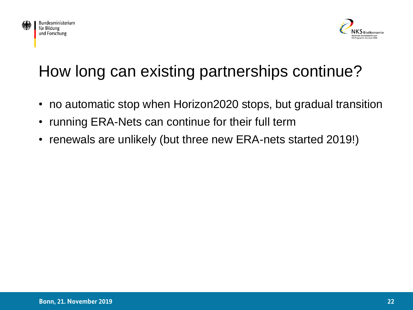



## How long can existing partnerships continue?

- no automatic stop when Horizon2020 stops, but gradual transition
- running ERA-Nets can continue for their full term
- renewals are unlikely (but three new ERA-nets started 2019!)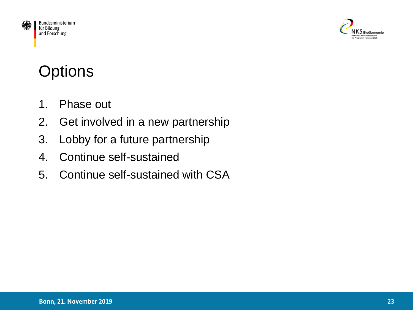



## **Options**

- 1. Phase out
- 2. Get involved in a new partnership
- 3. Lobby for a future partnership
- 4. Continue self-sustained
- 5. Continue self-sustained with CSA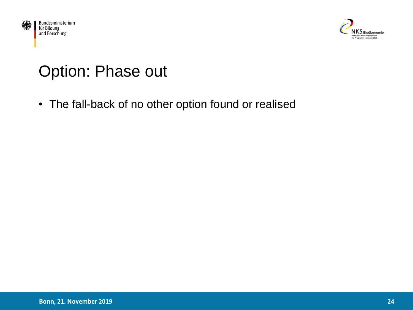



#### Option: Phase out

• The fall-back of no other option found or realised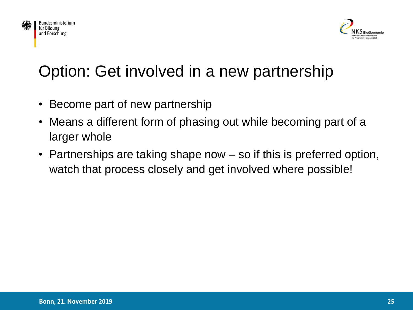



## Option: Get involved in a new partnership

- Become part of new partnership
- Means a different form of phasing out while becoming part of a larger whole
- Partnerships are taking shape now so if this is preferred option, watch that process closely and get involved where possible!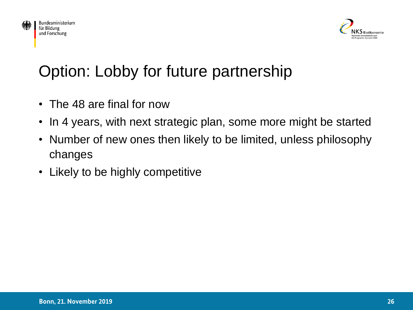



## Option: Lobby for future partnership

- The 48 are final for now
- In 4 years, with next strategic plan, some more might be started
- Number of new ones then likely to be limited, unless philosophy changes
- Likely to be highly competitive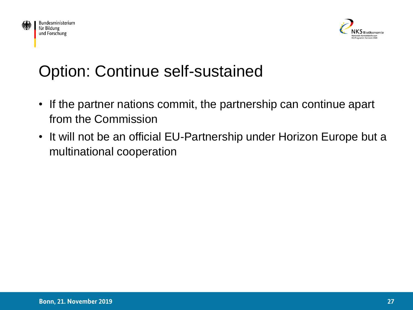



#### Option: Continue self-sustained

- If the partner nations commit, the partnership can continue apart from the Commission
- It will not be an official EU-Partnership under Horizon Europe but a multinational cooperation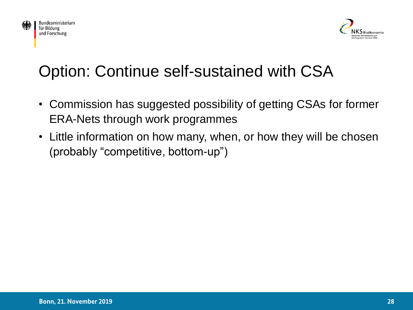



## Option: Continue self-sustained with CSA

- Commission has suggested possibility of getting CSAs for former ERA-Nets through work programmes
- Little information on how many, when, or how they will be chosen (probably "competitive, bottom-up")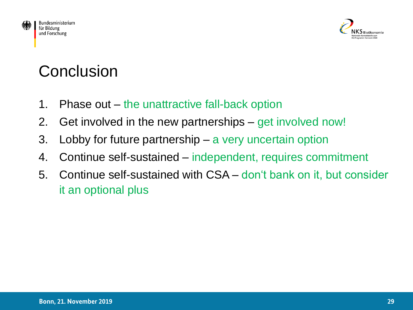



## **Conclusion**

- 1. Phase out the unattractive fall-back option
- 2. Get involved in the new partnerships get involved now!
- 3. Lobby for future partnership a very uncertain option
- 4. Continue self-sustained independent, requires commitment
- 5. Continue self-sustained with CSA don't bank on it, but consider it an optional plus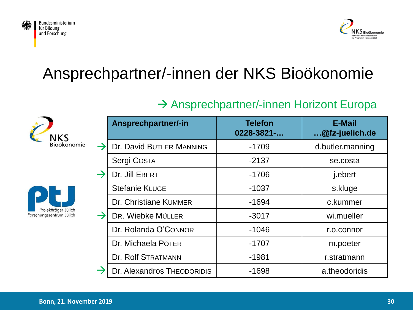



#### Ansprechpartner/-innen der NKS Bioökonomie

#### → Ansprechpartner/-innen Horizont Europa





| Ansprechpartner/-in        | <b>Telefon</b><br>$0228 - 3821 - $ | <b>E-Mail</b><br>@fz-juelich.de |
|----------------------------|------------------------------------|---------------------------------|
| Dr. David BUTLER MANNING   | $-1709$                            | d.butler.manning                |
| Sergi COSTA                | $-2137$                            | se.costa                        |
| Dr. Jill EBERT             | $-1706$                            | j.ebert                         |
| <b>Stefanie KLUGE</b>      | $-1037$                            | s.kluge                         |
| Dr. Christiane KUMMER      | $-1694$                            | c.kummer                        |
| DR. Wiebke MÜLLER          | $-3017$                            | wi.mueller                      |
| Dr. Rolanda O'CONNOR       | $-1046$                            | r.o.connor                      |
| Dr. Michaela PÖTER         | $-1707$                            | m.poeter                        |
| <b>Dr. Rolf STRATMANN</b>  | $-1981$                            | r.stratmann                     |
| Dr. Alexandros THEODORIDIS | $-1698$                            | a.theodoridis                   |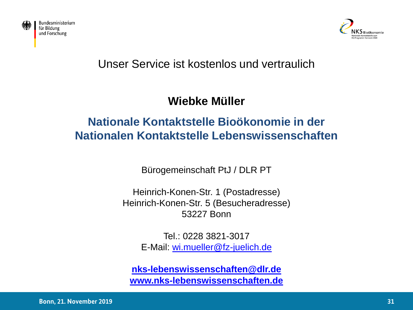



#### Unser Service ist kostenlos und vertraulich

#### **Wiebke Müller**

#### **Nationale Kontaktstelle Bioökonomie in der Nationalen Kontaktstelle Lebenswissenschaften**

Bürogemeinschaft PtJ / DLR PT

Heinrich-Konen-Str. 1 (Postadresse) Heinrich-Konen-Str. 5 (Besucheradresse) 53227 Bonn

> Tel.: 0228 3821-3017 E-Mail: [wi.mueller@fz-juelich.de](mailto:wi.mueller@fz-juelich.de)

**[nks-lebenswissenschaften@dlr.de](mailto:nks-lebenswissenschaften@dlr.de) [www.nks-lebenswissenschaften.de](http://www.nks-lebenswissenschaften.de/)**